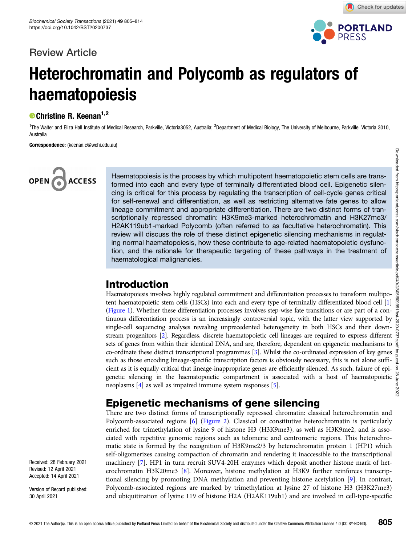## Review Article



Check for updates

## Heterochromatin and Polycomb as regulators of haematopoiesis

#### <sup>®</sup> Christine R. Keenan<sup>1,2</sup>

<sup>1</sup>The Walter and Eliza Hall Institute of Medical Research, Parkville, Victoria3052, Australia; <sup>2</sup>Department of Medical Biology, The University of Melbourne, Parkville, Victoria 3010, Australia

Correspondence: (keenan.c@wehi.edu.au)

# **ACCESS**

Haematopoiesis is the process by which multipotent haematopoietic stem cells are transformed into each and every type of terminally differentiated blood cell. Epigenetic silencing is critical for this process by regulating the transcription of cell-cycle genes critical for self-renewal and differentiation, as well as restricting alternative fate genes to allow lineage commitment and appropriate differentiation. There are two distinct forms of transcriptionally repressed chromatin: H3K9me3-marked heterochromatin and H3K27me3/ H2AK119ub1-marked Polycomb (often referred to as facultative heterochromatin). This review will discuss the role of these distinct epigenetic silencing mechanisms in regulating normal haematopoiesis, how these contribute to age-related haematopoietic dysfunction, and the rationale for therapeutic targeting of these pathways in the treatment of haematological malignancies.

## Introduction

Haematopoiesis involves highly regulated commitment and differentiation processes to transform multipotent haematopoietic stem cells (HSCs) into each and every type of terminally differentiated blood cell [\[1](#page-6-0)] [\(Figure 1](#page-1-0)). Whether these differentiation processes involves step-wise fate transitions or are part of a continuous differentiation process is an increasingly controversial topic, with the latter view supported by single-cell sequencing analyses revealing unprecedented heterogeneity in both HSCs and their downstream progenitors [[2](#page-6-0)]. Regardless, discrete haematopoietic cell lineages are required to express different sets of genes from within their identical DNA, and are, therefore, dependent on epigenetic mechanisms to  $\frac{9}{2}$ co-ordinate these distinct transcriptional programmes [\[3](#page-6-0)]. Whilst the co-ordinated expression of key genes such as those encoding lineage-specific transcription factors is obviously necessary, this is not alone sufficient as it is equally critical that lineage-inappropriate genes are efficiently silenced. As such, failure of epigenetic silencing in the haematopoietic compartment is associated with a host of haematopoietic neoplasms [\[4\]](#page-6-0) as well as impaired immune system responses [\[5\]](#page-6-0).

## Epigenetic mechanisms of gene silencing

There are two distinct forms of transcriptionally repressed chromatin: classical heterochromatin and Polycomb-associated regions [\[6](#page-6-0)] [\(Figure 2\)](#page-2-0). Classical or constitutive heterochromatin is particularly enriched for trimethylation of lysine 9 of histone H3 (H3K9me3), as well as H3K9me2, and is associated with repetitive genomic regions such as telomeric and centromeric regions. This heterochromatic state is formed by the recognition of H3K9me2/3 by heterochromatin protein 1 (HP1) which self-oligomerizes causing compaction of chromatin and rendering it inaccessible to the transcriptional machinery [\[7](#page-6-0)]. HP1 in turn recruit SUV4-20H enzymes which deposit another histone mark of heterochromatin H3K20me3 [\[8](#page-6-0)]. Moreover, histone methylation at H3K9 further reinforces transcriptional silencing by promoting DNA methylation and preventing histone acetylation [[9](#page-6-0)]. In contrast, Polycomb-associated regions are marked by trimethylation at lysine 27 of histone H3 (H3K27me3) and ubiquitination of lysine 119 of histone H2A (H2AK119ub1) and are involved in cell-type-specific

Version of Record published: 30 April 2021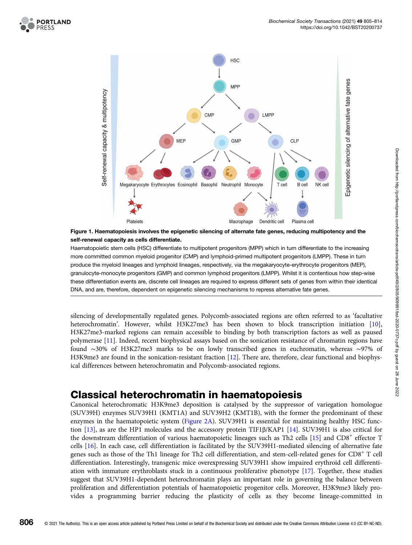<span id="page-1-0"></span>



Figure 1. Haematopoiesis involves the epigenetic silencing of alternate fate genes, reducing multipotency and the self-renewal capacity as cells differentiate.

Haematopoietic stem cells (HSC) differentiate to multipotent progenitors (MPP) which in turn differentiate to the increasing more committed common myeloid progenitor (CMP) and lymphoid-primed multipotent progenitors (LMPP). These in turn produce the myeloid lineages and lymphoid lineages, respectively, via the megakaryocyte-erythrocyte progenitors (MEP), granulocyte-monocyte progenitors (GMP) and common lymphoid progenitors (LMPP). Whilst it is contentious how step-wise these differentiation events are, discrete cell lineages are required to express different sets of genes from within their identical DNA, and are, therefore, dependent on epigenetic silencing mechanisms to repress alternative fate genes.

silencing of developmentally regulated genes. Polycomb-associated regions are often referred to as 'facultative heterochromatin'. However, whilst H3K27me3 has been shown to block transcription initiation [[10](#page-6-0)], H3K27me3-marked regions can remain accessible to binding by both transcription factors as well as paused polymerase [[11](#page-6-0)]. Indeed, recent biophysical assays based on the sonication resistance of chromatin regions have found ∼30% of H3K27me3 marks to be on lowly transcribed genes in euchromatin, whereas ∼97% of H3K9me3 are found in the sonication-resistant fraction [\[12\]](#page-6-0). There are, therefore, clear functional and biophysical differences between heterochromatin and Polycomb-associated regions.

## Classical heterochromatin in haematopoiesis

Canonical heterochromatic H3K9me3 deposition is catalysed by the suppressor of variegation homologue (SUV39H) enzymes SUV39H1 (KMT1A) and SUV39H2 (KMT1B), with the former the predominant of these enzymes in the haematopoietic system [\(Figure 2A](#page-2-0)). SUV39H1 is essential for maintaining healthy HSC function [\[13\]](#page-6-0), as are the HP1 molecules and the accessory protein TIF1β/KAP1 [\[14\]](#page-6-0). SUV39H1 is also critical for the downstream differentiation of various haematopoietic lineages such as Th2 cells [\[15](#page-6-0)] and CD8<sup>+</sup> effector T cells [\[16\]](#page-6-0). In each case, cell differentiation is facilitated by the SUV39H1-mediated silencing of alternative fate genes such as those of the Th1 lineage for Th2 cell differentiation, and stem-cell-related genes for CD8+ T cell differentiation. Interestingly, transgenic mice overexpressing SUV39H1 show impaired erythroid cell differentiation with immature erythroblasts stuck in a continuous proliferative phenotype [\[17\]](#page-6-0). Together, these studies suggest that SUV39H1-dependent heterochromatin plays an important role in governing the balance between proliferation and differentiation potentials of haematopoietic progenitor cells. Moreover, H3K9me3 likely provides a programming barrier reducing the plasticity of cells as they become lineage-committed in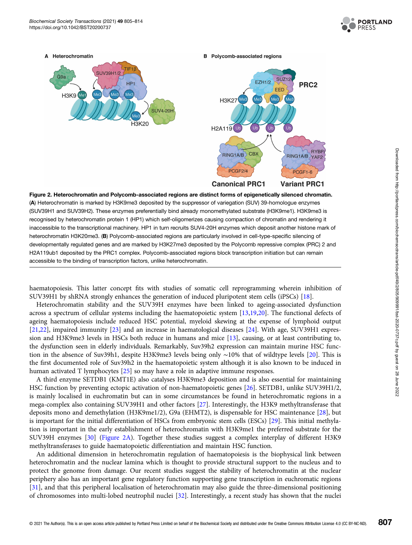

<span id="page-2-0"></span>

(A) Heterochromatin is marked by H3K9me3 deposited by the suppressor of variegation (SUV) 39-homologue enzymes (SUV39H1 and SUV39H2). These enzymes preferentially bind already monomethylated substrate (H3K9me1). H3K9me3 is recognised by heterochromatin protein 1 (HP1) which self-oligomerizes causing compaction of chromatin and rendering it inaccessible to the transcriptional machinery. HP1 in turn recruits SUV4-20H enzymes which deposit another histone mark of heterochromatin H3K20me3. (B) Polycomb-associated regions are particularly involved in cell-type-specific silencing of developmentally regulated genes and are marked by H3K27me3 deposited by the Polycomb repressive complex (PRC) 2 and H2A119ub1 deposited by the PRC1 complex. Polycomb-associated regions block transcription initiation but can remain accessible to the binding of transcription factors, unlike heterochromatin.

haematopoiesis. This latter concept fits with studies of somatic cell reprogramming wherein inhibition of SUV39H1 by shRNA strongly enhances the generation of induced pluripotent stem cells (iPSCs) [\[18\]](#page-6-0).

Heterochromatin stability and the SUV39H enzymes have been linked to ageing-associated dysfunction across a spectrum of cellular systems including the haematopoietic system [[13,19](#page-6-0)[,20\]](#page-7-0). The functional defects of ageing haematopoiesis include reduced HSC potential, myeloid skewing at the expense of lymphoid output [[21,22](#page-7-0)], impaired immunity [\[23\]](#page-7-0) and an increase in haematological diseases [[24\]](#page-7-0). With age, SUV39H1 expression and H3K9me3 levels in HSCs both reduce in humans and mice [[13](#page-6-0)], causing, or at least contributing to, the dysfunction seen in elderly individuals. Remarkably, Suv39h2 expression can maintain murine HSC function in the absence of Suv39h1, despite H3K9me3 levels being only ∼10% that of wildtype levels [[20\]](#page-7-0). This is the first documented role of Suv39h2 in the haematopoietic system although it is also known to be induced in human activated T lymphocytes [\[25\]](#page-7-0) so may have a role in adaptive immune responses.

A third enzyme SETDB1 (KMT1E) also catalyses H3K9me3 deposition and is also essential for maintaining HSC function by preventing ectopic activation of non-haematopoietic genes [\[26\]](#page-7-0). SETDB1, unlike SUV39H1/2, is mainly localised in euchromatin but can in some circumstances be found in heterochromatic regions in a mega-complex also containing SUV39H1 and other factors [\[27\]](#page-7-0). Interestingly, the H3K9 methyltransferase that deposits mono and demethylation (H3K9me1/2), G9a (EHMT2), is dispensable for HSC maintenance [[28](#page-7-0)], but is important for the initial differentiation of HSCs from embryonic stem cells (ESCs) [\[29\]](#page-7-0). This initial methylation is important in the early establishment of heterochromatin with H3K9me1 the preferred substrate for the SUV39H enzymes [\[30\]](#page-7-0) (Figure 2A). Together these studies suggest a complex interplay of different H3K9 methyltransferases to guide haematopoietic differentiation and maintain HSC function.

An additional dimension in heterochromatin regulation of haematopoiesis is the biophysical link between heterochromatin and the nuclear lamina which is thought to provide structural support to the nucleus and to protect the genome from damage. Our recent studies suggest the stability of heterochromatin at the nuclear periphery also has an important gene regulatory function supporting gene transcription in euchromatic regions [[31\]](#page-7-0), and that this peripheral localisation of heterochromatin may also guide the three-dimensional positioning of chromosomes into multi-lobed neutrophil nuclei [\[32\]](#page-7-0). Interestingly, a recent study has shown that the nuclei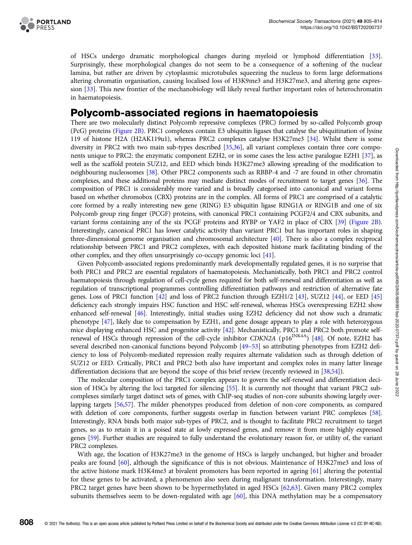

of HSCs undergo dramatic morphological changes during myeloid or lymphoid differentiation [[33](#page-7-0)]. Surprisingly, these morphological changes do not seem to be a consequence of a softening of the nuclear lamina, but rather are driven by cytoplasmic microtubules squeezing the nucleus to form large deformations altering chromatin organisation, causing localised loss of H3K9me3 and H3K27me3, and altering gene expression [\[33\]](#page-7-0). This new frontier of the mechanobiology will likely reveal further important roles of heterochromatin in haematopoiesis.

#### Polycomb-associated regions in haematopoiesis

There are two molecularly distinct Polycomb repressive complexes (PRC) formed by so-called Polycomb group (PcG) proteins ([Figure 2B\)](#page-2-0). PRC1 complexes contain E3 ubiquitin ligases that catalyse the ubiquitination of lysine 119 of histone H2A (H2AK119u1), whereas PRC2 complexes catalyse H3K27me3 [\[34\]](#page-7-0). Whilst there is some diversity in PRC2 with two main sub-types described [\[35,36](#page-7-0)], all variant complexes contain three core components unique to PRC2: the enzymatic component EZH2, or in some cases the less active paralogue EZH1 [[37](#page-7-0)], as well as the scaffold protein SUZ12, and EED which binds H3K27me3 allowing spreading of the modification to neighbouring nucleosomes [[38](#page-7-0)]. Other PRC2 components such as RBBP-4 and -7 are found in other chromatin complexes, and these additional proteins may mediate distinct modes of recruitment to target genes [\[36\]](#page-7-0). The composition of PRC1 is considerably more varied and is broadly categorised into canonical and variant forms based on whether chromobox (CBX) proteins are in the complex. All forms of PRC1 are comprised of a catalytic core formed by a really interesting new gene (RING) E3 ubiquitin ligase RING1A or RING1B and one of six Polycomb group ring finger (PCGF) proteins, with canonical PRC1 containing PCGF2/4 and CBX subunits, and variant forms containing any of the six PCGF proteins and RYBP or YAF2 in place of CBX [\[39](#page-7-0)] [\(Figure 2B](#page-2-0)). Interestingly, canonical PRC1 has lower catalytic activity than variant PRC1 but has important roles in shaping three-dimensional genome organisation and chromosomal architecture [\[40\]](#page-7-0). There is also a complex reciprocal relationship between PRC1 and PRC2 complexes, with each deposited histone mark facilitating binding of the other complex, and they often unsurprisingly co-occupy genomic loci [[41\]](#page-7-0).

Given Polycomb-associated regions predominantly mark developmentally regulated genes, it is no surprise that both PRC1 and PRC2 are essential regulators of haematopoiesis. Mechanistically, both PRC1 and PRC2 control haematopoiesis through regulation of cell-cycle genes required for both self-renewal and differentiation as well as regulation of transcriptional programmes controlling differentiation pathways and restriction of alternative fate genes. Loss of PRC1 function [[42](#page-7-0)] and loss of PRC2 function through EZH1/2 [[43](#page-7-0)], SUZ12 [[44\]](#page-7-0), or EED [\[45](#page-7-0)] deficiency each strongly impairs HSC function and HSC self-renewal, whereas HSCs overexpressing EZH2 show enhanced self-renewal [\[46](#page-7-0)]. Interestingly, initial studies using EZH2 deficiency did not show such a dramatic phenotype [\[47](#page-7-0)], likely due to compensation by EZH1, and gene dosage appears to play a role with heterozygous mice displaying enhanced HSC and progenitor activity [\[42\]](#page-7-0). Mechanistically, PRC1 and PRC2 both promote self-renewal of HSCs through repression of the cell-cycle inhibitor CDKN2A (p16<sup>INK4A</sup>) [\[48\]](#page-7-0). Of note, EZH2 has several described non-canonical functions beyond Polycomb [\[49](#page-7-0)–[53](#page-8-0)] so attributing phenotypes from EZH2 deficiency to loss of Polycomb-mediated repression really requires alternate validation such as through deletion of SUZ12 or EED. Critically, PRC1 and PRC2 both also have important and complex roles in many latter lineage differentiation decisions that are beyond the scope of this brief review (recently reviewed in [[38](#page-7-0)[,54\]](#page-8-0)).

The molecular composition of the PRC1 complex appears to govern the self-renewal and differentiation decision of HSCs by altering the loci targeted for silencing [[55\]](#page-8-0). It is currently not thought that variant PRC2 subcomplexes similarly target distinct sets of genes, with ChIP-seq studies of non-core subunits showing largely overlapping targets [\[56,57](#page-8-0)]. The milder phenotypes produced from deletion of non-core components, as compared with deletion of core components, further suggests overlap in function between variant PRC complexes [[58](#page-8-0)]. Interestingly, RNA binds both major sub-types of PRC2, and is thought to facilitate PRC2 recruitment to target genes, so as to retain it in a poised state at lowly expressed genes, and remove it from more highly expressed genes [[59\]](#page-8-0). Further studies are required to fully understand the evolutionary reason for, or utility of, the variant PRC2 complexes.

With age, the location of H3K27me3 in the genome of HSCs is largely unchanged, but higher and broader peaks are found [\[60\]](#page-8-0), although the significance of this is not obvious. Maintenance of H3K27me3 and loss of the active histone mark H3K4me3 at bivalent promoters has been reported in ageing [\[61\]](#page-8-0) altering the potential for these genes to be activated, a phenomenon also seen during malignant transformation. Interestingly, many PRC2 target genes have been shown to be hypermethylated in aged HSCs [\[62,63\]](#page-8-0). Given many PRC2 complex subunits themselves seem to be down-regulated with age [[60](#page-8-0)], this DNA methylation may be a compensatory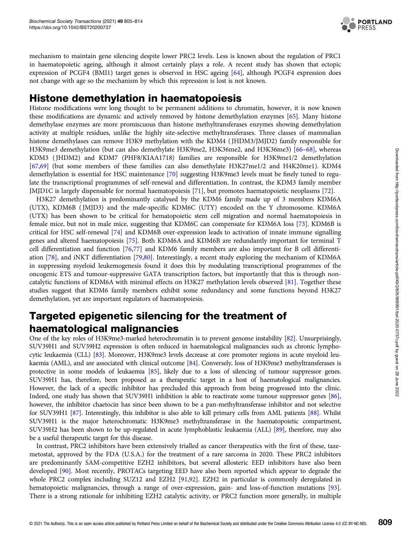

mechanism to maintain gene silencing despite lower PRC2 levels. Less is known about the regulation of PRC1 in haematopoietic ageing, although it almost certainly plays a role. A recent study has shown that ectopic expression of PCGF4 (BMI1) target genes is observed in HSC ageing [[64](#page-8-0)], although PCGF4 expression does not change with age so the mechanism by which this repression is lost is not known.

### Histone demethylation in haematopoiesis

Histone modifications were long thought to be permanent additions to chromatin, however, it is now known these modifications are dynamic and actively removed by histone demethylation enzymes [\[65\]](#page-8-0). Many histone demethylase enzymes are more promiscuous than histone methyltransferases enzymes showing demethylation activity at multiple residues, unlike the highly site-selective methyltransferases. Three classes of mammalian histone demethylases can remove H3K9 methylation with the KDM4 ( JHDM3/JMJD2) family responsible for H3K9me3 demethylation (but can also demethylate H3K9me2, H3K36me2, and H3K36me3) [\[66](#page-8-0)–[68](#page-8-0)], whereas KDM3 ( JHDM2) and KDM7 (PHF8/KIAA1718) families are responsible for H3K9me1/2 demethylation [[67,69](#page-8-0)] (but some members of these families can also demethylate H3K27me1/2 and H4K20me1). KDM4 demethylation is essential for HSC maintenance [\[70\]](#page-8-0) suggesting H3K9me3 levels must be finely tuned to regulate the transcriptional programmes of self-renewal and differentiation. In contrast, the KDM3 family member JMJD1C is largely dispensable for normal haematopoiesis [\[71\]](#page-8-0), but promotes haematopoietic neoplasms [[72\]](#page-8-0).

H3K27 demethylation is predominantly catalysed by the KDM6 family made up of 3 members KDM6A (UTX), KDM6B ( JMJD3) and the male-specific KDM6C (UTY) encoded on the Y chromosome. KDM6A (UTX) has been shown to be critical for hematopoietic stem cell migration and normal haematopoiesis in female mice, but not in male mice, suggesting that KDM6C can compensate for KDM6A loss [[73](#page-8-0)]. KDM6B is critical for HSC self-renewal [\[74\]](#page-8-0) and KDM6B over-expression leads to activation of innate immune signalling genes and altered haematopoiesis [[75](#page-8-0)]. Both KDM6A and KDM6B are redundantly important for terminal T cell differentiation and function [[76](#page-8-0),[77](#page-8-0)] and KDM6 family members are also important for B cell differentiation [[78](#page-8-0)], and iNKT differentiation [\[79,80](#page-8-0)]. Interestingly, a recent study exploring the mechanism of KDM6A in suppressing myeloid leukemogenesis found it does this by modulating transcriptional programmes of the oncogenic ETS and tumour-suppressive GATA transcription factors, but importantly that this is through noncatalytic functions of KDM6A with minimal effects on H3K27 methylation levels observed [[81](#page-8-0)]. Together these studies suggest that KDM6 family members exhibit some redundancy and some functions beyond H3K27 demethylation, yet are important regulators of haematopoiesis.

## Targeted epigenetic silencing for the treatment of haematological malignancies

One of the key roles of H3K9me3-marked heterochromatin is to prevent genome instability [\[82\]](#page-8-0). Unsurprisingly, SUV39H1 and SUV39H2 expression is often reduced in haematological malignancies such as chronic lymphocytic leukaemia (CLL) [\[83](#page-9-0)]. Moreover, H3K9me3 levels decrease at core promoter regions in acute myeloid leukaemia (AML), and are associated with clinical outcome [\[84\]](#page-9-0). Conversely, loss of H3K9me3 methyltransferases is protective in some models of leukaemia [[85\]](#page-9-0), likely due to a loss of silencing of tumour suppressor genes. SUV39H1 has, therefore, been proposed as a therapeutic target in a host of haematological malignancies. However, the lack of a specific inhibitor has precluded this approach from being progressed into the clinic. Indeed, one study has shown that SUV39H1 inhibition is able to reactivate some tumour suppressor genes [\[86\]](#page-9-0), however, the inhibitor chaetocin has since been shown to be a pan-methyltransferase inhibitor and not selective for SUV39H1 [[87](#page-9-0)]. Interestingly, this inhibitor is also able to kill primary cells from AML patients [[88](#page-9-0)]. Whilst SUV39H1 is the major heterochromatic H3K9me3 methyltransferase in the haematopoietic compartment, SUV39H2 has been shown to be up-regulated in acute lymphoblastic leukaemia (ALL) [\[89](#page-9-0)], therefore, may also be a useful therapeutic target for this disease.

In contrast, PRC2 inhibitors have been extensively trialled as cancer therapeutics with the first of these, tazemetostat, approved by the FDA (U.S.A.) for the treatment of a rare sarcoma in 2020. These PRC2 inhibitors are predominantly SAM-competitive EZH2 inhibitors, but several allosteric EED inhibitors have also been developed [[90](#page-9-0)]. Most recently, PROTACs targeting EED have also been reported which appear to degrade the whole PRC2 complex including SUZ12 and EZH2 [[91,92\]](#page-9-0). EZH2 in particular is commonly deregulated in hematopoietic malignancies, through a range of over-expression, gain- and loss-of-function mutations [[93\]](#page-9-0). There is a strong rationale for inhibiting EZH2 catalytic activity, or PRC2 function more generally, in multiple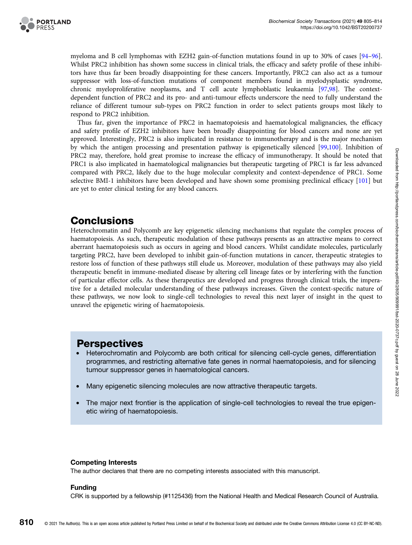

myeloma and B cell lymphomas with EZH2 gain-of-function mutations found in up to 30% of cases [[94](#page-9-0)–[96](#page-9-0)]. Whilst PRC2 inhibition has shown some success in clinical trials, the efficacy and safety profile of these inhibitors have thus far been broadly disappointing for these cancers. Importantly, PRC2 can also act as a tumour suppressor with loss-of-function mutations of component members found in myelodysplastic syndrome, chronic myeloproliferative neoplasms, and T cell acute lymphoblastic leukaemia [[97](#page-9-0),[98](#page-9-0)]. The contextdependent function of PRC2 and its pro- and anti-tumour effects underscore the need to fully understand the reliance of different tumour sub-types on PRC2 function in order to select patients groups most likely to respond to PRC2 inhibition.

Thus far, given the importance of PRC2 in haematopoiesis and haematological malignancies, the efficacy and safety profile of EZH2 inhibitors have been broadly disappointing for blood cancers and none are yet approved. Interestingly, PRC2 is also implicated in resistance to immunotherapy and is the major mechanism by which the antigen processing and presentation pathway is epigenetically silenced [\[99,100\]](#page-9-0). Inhibition of PRC2 may, therefore, hold great promise to increase the efficacy of immunotherapy. It should be noted that PRC1 is also implicated in haematological malignancies but therapeutic targeting of PRC1 is far less advanced compared with PRC2, likely due to the huge molecular complexity and context-dependence of PRC1. Some selective BMI-1 inhibitors have been developed and have shown some promising preclinical efficacy [\[101](#page-9-0)] but are yet to enter clinical testing for any blood cancers.

## **Conclusions**

Heterochromatin and Polycomb are key epigenetic silencing mechanisms that regulate the complex process of haematopoiesis. As such, therapeutic modulation of these pathways presents as an attractive means to correct aberrant haematopoiesis such as occurs in ageing and blood cancers. Whilst candidate molecules, particularly targeting PRC2, have been developed to inhibit gain-of-function mutations in cancer, therapeutic strategies to restore loss of function of these pathways still elude us. Moreover, modulation of these pathways may also yield therapeutic benefit in immune-mediated disease by altering cell lineage fates or by interfering with the function of particular effector cells. As these therapeutics are developed and progress through clinical trials, the imperative for a detailed molecular understanding of these pathways increases. Given the context-specific nature of these pathways, we now look to single-cell technologies to reveal this next layer of insight in the quest to unravel the epigenetic wiring of haematopoiesis.

#### **Perspectives**

- Heterochromatin and Polycomb are both critical for silencing cell-cycle genes, differentiation programmes, and restricting alternative fate genes in normal haematopoiesis, and for silencing tumour suppressor genes in haematological cancers.
- Many epigenetic silencing molecules are now attractive therapeutic targets.
- The major next frontier is the application of single-cell technologies to reveal the true epigenetic wiring of haematopoiesis.

#### Competing Interests

The author declares that there are no competing interests associated with this manuscript.

#### Funding

CRK is supported by a fellowship (#1125436) from the National Health and Medical Research Council of Australia.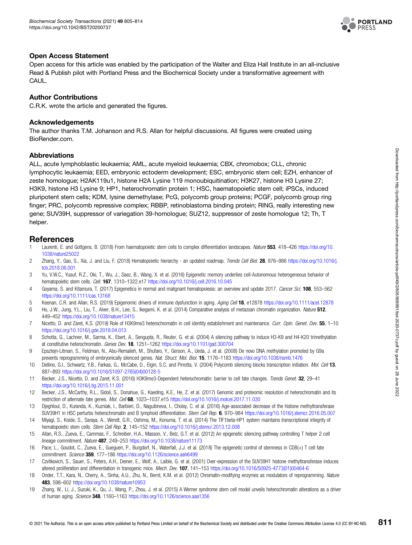

#### <span id="page-6-0"></span>Open Access Statement

Open access for this article was enabled by the participation of the Walter and Eliza Hall Institute in an all-inclusive Read & Publish pilot with Portland Press and the Biochemical Society under a transformative agreement with CAUL.

#### Author Contributions

C.R.K. wrote the article and generated the figures.

#### Acknowledgements

The author thanks T.M. Johanson and R.S. Allan for helpful discussions. All figures were created using BioRender.com.

#### **Abbreviations**

ALL, acute lymphoblastic leukaemia; AML, acute myeloid leukaemia; CBX, chromobox; CLL, chronic lymphocytic leukaemia; EED, embryonic ectoderm development; ESC, embryonic stem cell; EZH, enhancer of zeste homologue; H2AK119u1, histone H2A Lysine 119 monoubiquitination; H3K27, histone H3 Lysine 27; H3K9, histone H3 Lysine 9; HP1, heterochromatin protein 1; HSC, haematopoietic stem cell; iPSCs, induced pluripotent stem cells; KDM, lysine demethylase; PcG, polycomb group proteins; PCGF, polycomb group ring finger; PRC, polycomb repressive complex; RBBP, retinoblastoma binding protein; RING, really interesting new gene; SUV39H, suppressor of variegation 39-homologue; SUZ12, suppressor of zeste homologue 12; Th, T helper.

#### References

- 1 Laurenti, E. and Gottgens, B. (2018) From haematopoietic stem cells to complex differentiation landscapes. Nature 553, 418–426 [https://doi.org/10.](https://doi.org/10.1038/nature25022) [1038/nature25022](https://doi.org/10.1038/nature25022)
- 2 Zhang, Y., Gao, S., Xia, J. and Liu, F. (2018) Hematopoietic hierarchy an updated roadmap. Trends Cell Biol. 28, 976–986 [https://doi.org/10.1016/j.](https://doi.org/10.1016/j.tcb.2018.06.001) [tcb.2018.06.001](https://doi.org/10.1016/j.tcb.2018.06.001)
- 3 Yu, V.W.C., Yusuf, R.Z., Oki, T., Wu, J., Saez, B., Wang, X. et al. (2016) Epigenetic memory underlies cell-Autonomous heterogeneous behavior of hematopoietic stem cells. Cell. 167, 1310-1322.e17 <https://doi.org/10.1016/j.cell.2016.10.045>
- 4 Goyama, S. and Kitamura, T. (2017) Epigenetics in normal and malignant hematopoiesis: an overview and update 2017. Cancer Sci. 108, 553-562 <https://doi.org/10.1111/cas.13168>
- 5 Keenan, C.R. and Allan, R.S. (2019) Epigenomic drivers of immune dysfunction in aging. Aging Cell 18, e12878 <https://doi.org/10.1111/acel.12878>
- 6 Ho, J.W., Jung, Y.L., Liu, T., Alver, B.H., Lee, S., Ikegami, K. et al. (2014) Comparative analysis of metazoan chromatin organization. Nature 512, 449–452 <https://doi.org/10.1038/nature13415>
- 7 Nicetto, D. and Zaret, K.S. (2019) Role of H3K9me3 heterochromatin in cell identity establishment and maintenance. Curr. Opin. Genet. Dev. 55, 1–10 <https://doi.org/10.1016/j.gde.2019.04.013>
- 8 Schotta, G., Lachner, M., Sarma, K., Ebert, A., Sengupta, R., Reuter, G. et al. (2004) A silencing pathway to induce H3-K9 and H4-K20 trimethylation at constitutive heterochromatin. Genes Dev. 18, 1251–1262 <https://doi.org/10.1101/gad.300704>
- 9 Epsztejn-Litman, S., Feldman, N., Abu-Remaileh, M., Shufaro, Y., Gerson, A., Ueda, J. et al. (2008) De novo DNA methylation promoted by G9a prevents reprogramming of embryonically silenced genes. Nat. Struct. Mol. Biol. 15, 1176–1183 <https://doi.org/10.1038/nsmb.1476>
- 10 Dellino, G.I., Schwartz, Y.B., Farkas, G., McCabe, D., Elgin, S.C. and Pirrotta, V. (2004) Polycomb silencing blocks transcription initiation. Mol. Cell 13, 887–893 [https://doi.org/10.1016/S1097-2765\(04\)00128-5](https://doi.org/10.1016/S1097-2765(04)00128-5)
- 11 Becker, J.S., Nicetto, D. and Zaret, K.S. (2016) H3K9me3-Dependent heterochromatin: barrier to cell fate changes. Trends Genet. 32, 29–41 <https://doi.org/10.1016/j.tig.2015.11.001>
- 12 Becker, J.S., McCarthy, R.L., Sidoli, S., Donahue, G., Kaeding, K.E., He, Z. et al. (2017) Genomic and proteomic resolution of heterochromatin and its restriction of alternate fate genes. Mol. Cell 68, 1023–1037.e15 <https://doi.org/10.1016/j.molcel.2017.11.030>
- 13 Djeghloul, D., Kuranda, K., Kuzniak, I., Barbieri, D., Naguibneva, I., Choisy, C. et al. (2016) Age-associated decrease of the histone methyltransferase SUV39H1 in HSC perturbs heterochromatin and B lymphoid differentiation. Stem Cell Rep. 6, 970–984 <https://doi.org/10.1016/j.stemcr.2016.05.007>
- 14 Miyagi, S., Koide, S., Saraya, A., Wendt, G.R., Oshima, M., Konuma, T. et al. (2014) The TIF1beta-HP1 system maintains transcriptional integrity of hematopoietic stem cells. Stem Cell Rep. 2, 145-152 <https://doi.org/10.1016/j.stemcr.2013.12.008>
- 15 Allan, R.S., Zueva, E., Cammas, F., Schreiber, H.A., Masson, V., Belz, G.T. et al. (2012) An epigenetic silencing pathway controlling T helper 2 cell lineage commitment. Nature 487, 249-253 <https://doi.org/10.1038/nature11173>
- 16 Pace, L., Goudot, C., Zueva, E., Gueguen, P., Burgdorf, N., Waterfall, J.J. et al. (2018) The epigenetic control of stemness in CD8(+) T cell fate commitment. Science 359, 177-186 <https://doi.org/10.1126/science.aah6499>
- 17 Czvitkovich, S., Sauer, S., Peters, A.H., Deiner, E., Wolf, A., Laible, G. et al. (2001) Over-expression of the SUV39H1 histone methyltransferase induces altered proliferation and differentiation in transgenic mice. Mech. Dev. 107, 141-153 [https://doi.org/10.1016/S0925-4773\(01\)00464-6](https://doi.org/10.1016/S0925-4773(01)00464-6)
- 18 Onder, T.T., Kara, N., Cherry, A., Sinha, A.U., Zhu, N., Bernt, K.M. et al. (2012) Chromatin-modifying enzymes as modulators of reprogramming. Nature 483, 598–602 <https://doi.org/10.1038/nature10953>
- 19 Zhang, W., Li, J., Suzuki, K., Qu, J., Wang, P., Zhou, J. et al. (2015) A Werner syndrome stem cell model unveils heterochromatin alterations as a driver of human aging. Science 348, 1160-1163 <https://doi.org/10.1126/science.aaa1356>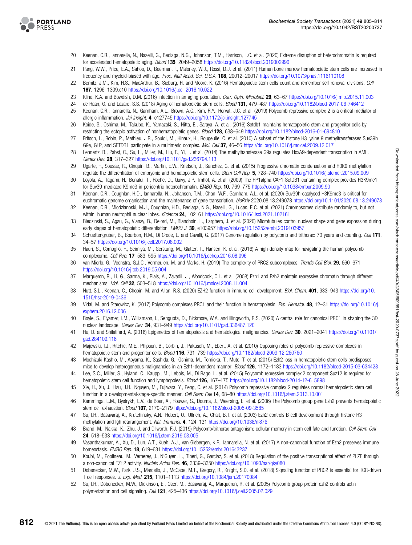<span id="page-7-0"></span>

- 20 Keenan, C.R., Iannarella, N., Naselli, G., Bediaga, N.G., Johanson, T.M., Harrison, L.C. et al. (2020) Extreme disruption of heterochromatin is required for accelerated hematopoietic aging. Blood 135, 2049–2058 <https://doi.org/10.1182/blood.2019002990>
- 21 Pang, W.W., Price, E.A., Sahoo, D., Beerman, I., Maloney, W.J., Rossi, D.J. et al. (2011) Human bone marrow hematopoietic stem cells are increased in frequency and myeloid-biased with age. Proc. Natl Acad. Sci. U.S.A. 108, 20012–20017 <https://doi.org/10.1073/pnas.1116110108>
- 22 Bernitz, J.M., Kim, H.S., MacArthur, B., Sieburg, H. and Moore, K. (2016) Hematopoietic stem cells count and remember self-renewal divisions. Cell 167, 1296–1309.e10 <https://doi.org/10.1016/j.cell.2016.10.022>
- 23 Kline, K.A. and Bowdish, D.M. (2016) Infection in an aging population. Curr. Opin. Microbiol. 29, 63-67 <https://doi.org/10.1016/j.mib.2015.11.003>
- 24 de Haan, G. and Lazare, S.S. (2018) Aging of hematopoietic stem cells. Blood 131, 479–487 <https://doi.org/10.1182/blood-2017-06-746412>
- 25 Keenan, C.R., Iannarella, N., Garnham, A.L., Brown, A.C., Kim, R.Y., Horvat, J.C. et al. (2019) Polycomb repressive complex 2 is a critical mediator of allergic inflammation. Jci Insight. 4, e127745 <https://doi.org/10.1172/jci.insight.127745>
- 26 Koide, S., Oshima, M., Takubo, K., Yamazaki, S., Nitta, E., Saraya, A. et al. (2016) Setdb1 maintains hematopoietic stem and progenitor cells by restricting the ectopic activation of nonhematopoietic genes. Blood 128, 638–649 <https://doi.org/10.1182/blood-2016-01-694810>
- 27 Fritsch, L., Robin, P., Mathieu, J.R., Souidi, M., Hinaux, H., Rougeulle, C. et al. (2010) A subset of the histone H3 lysine 9 methyltransferases Suv39h1, G9a, GLP, and SETDB1 participate in a multimeric complex. Mol. Cell 37, 46-56 <https://doi.org/10.1016/j.molcel.2009.12.017>
- 28 Lehnertz, B., Pabst, C., Su, L., Miller, M., Liu, F., Yi, L. et al. (2014) The methyltransferase G9a regulates HoxA9-dependent transcription in AML. Genes Dev. 28, 317-327 <https://doi.org/10.1101/gad.236794.113>
- 29 Ugarte, F., Sousae, R., Cinquin, B., Martin, E.W., Krietsch, J., Sanchez, G. et al. (2015) Progressive chromatin condensation and H3K9 methylation regulate the differentiation of embryonic and hematopoietic stem cells. Stem Cell Rep. 5, 728-740 <https://doi.org/10.1016/j.stemcr.2015.09.009>
- 30 Loyola, A., Tagami, H., Bonaldi, T., Roche, D., Quivy, J.P., Imhof, A. et al. (2009) The HP1alpha-CAF1-SetDB1-containing complex provides H3K9me1 for Suv39-mediated K9me3 in pericentric heterochromatin. EMBO Rep. 10, 769–775 <https://doi.org/10.1038/embor.2009.90>
- 31 Keenan, C.R., Coughlan, H.D., Iannarella, N., Johanson, T.M., Chan, W.F., Garnham, A.L. et al. (2020) Suv39h-catalysed H3K9me3 is critical for euchromatic genome organisation and the maintenance of gene transcription. bioRxiv 2020.08.13.249078 <https://doi.org/10.1101/2020.08.13.249078>
- 32 Keenan, C.R., Mlodzianoski, M.J., Coughlan, H.D., Bediaga, N.G., Naselli, G., Lucas, E.C. et al. (2021) Chromosomes distribute randomly to, but not within, human neutrophil nuclear lobes. *iScience* 24, 102161 <https://doi.org/10.1016/j.isci.2021.102161>
- 33 Biedzinski, S., Agsu, G., Vianay, B., Delord, M., Blanchoin, L., Larghero, J. et al. (2020) Microtubules control nuclear shape and gene expression during early stages of hematopoietic differentiation. EMBO J. 39, e103957 <https://doi.org/10.15252/embj.2019103957>
- 34 Schuettengruber, B., Bourbon, H.M., Di Croce, L. and Cavalli, G. (2017) Genome regulation by polycomb and trithorax: 70 years and counting. Cell 171, 34–57 <https://doi.org/10.1016/j.cell.2017.08.002>
- 35 Hauri, S., Comoglio, F., Seimiya, M., Gerstung, M., Glatter, T., Hansen, K. et al. (2016) A high-density map for navigating the human polycomb complexome. Cell Rep. 17, 583–595 <https://doi.org/10.1016/j.celrep.2016.08.096>
- 36 van Mierlo, G., Veenstra, G.J.C., Vermeulen, M. and Marks, H. (2019) The complexity of PRC2 subcomplexes. Trends Cell Biol. 29, 660-671 <https://doi.org/10.1016/j.tcb.2019.05.004>
- 37 Margueron, R., Li, G., Sarma, K., Blais, A., Zavadil, J., Woodcock, C.L. et al. (2008) Ezh1 and Ezh2 maintain repressive chromatin through different mechanisms. Mol. Cell 32, 503–518 <https://doi.org/10.1016/j.molcel.2008.11.004>
- 38 Nutt, S.L., Keenan, C., Chopin, M. and Allan, R.S. (2020) EZH2 function in immune cell development. Biol. Chem. 401, 933-943 [https://doi.org/10.](https://doi.org/10.1515/hsz-2019-0436) [1515/hsz-2019-0436](https://doi.org/10.1515/hsz-2019-0436)
- 39 Vidal, M. and Starowicz, K. (2017) Polycomb complexes PRC1 and their function in hematopoiesis. Exp. Hematol. 48, 12–31 [https://doi.org/10.1016/j.](https://doi.org/10.1016/j.exphem.2016.12.006) [exphem.2016.12.006](https://doi.org/10.1016/j.exphem.2016.12.006)
- 40 Boyle, S., Flyamer, I.M., Williamson, I., Sengupta, D., Bickmore, W.A. and Illingworth, R.S. (2020) A central role for canonical PRC1 in shaping the 3D nuclear landscape. Genes Dev. 34, 931–949 <https://doi.org/10.1101/gad.336487.120>
- 41 Hu, D. and Shilatifard, A. (2016) Epigenetics of hematopoiesis and hematological malignancies. Genes Dev. 30, 2021–2041 [https://doi.org/10.1101/](https://doi.org/10.1101/gad.284109.116) [gad.284109.116](https://doi.org/10.1101/gad.284109.116)
- 42 Majewski, I.J., Ritchie, M.E., Phipson, B., Corbin, J., Pakusch, M., Ebert, A. et al. (2010) Opposing roles of polycomb repressive complexes in hematopoietic stem and progenitor cells. *Blood* **116**, 731–739 <https://doi.org/10.1182/blood-2009-12-260760>
- 43 Mochizuki-Kashio, M., Aoyama, K., Sashida, G., Oshima, M., Tomioka, T., Muto, T. et al. (2015) Ezh2 loss in hematopoietic stem cells predisposes mice to develop heterogeneous malignancies in an Ezh1-dependent manner. Blood 126, 1172-1183 <https://doi.org/10.1182/blood-2015-03-634428>
- 44 Lee, S.C., Miller, S., Hyland, C., Kauppi, M., Lebois, M., Di Rago, L. et al. (2015) Polycomb repressive complex 2 component Suz12 is required for hematopoietic stem cell function and lymphopoiesis. Blood 126, 167-175 <https://doi.org/10.1182/blood-2014-12-615898>
- 45 Xie, H., Xu, J., Hsu, J.H., Nguyen, M., Fujiwara, Y., Peng, C. et al. (2014) Polycomb repressive complex 2 regulates normal hematopoietic stem cell function in a developmental-stage-specific manner. Cell Stem Cell 14, 68-80 <https://doi.org/10.1016/j.stem.2013.10.001>
- 46 Kamminga, L.M., Bystrykh, L.V., de Boer, A., Houwer, S., Douma, J., Weersing, E. et al. (2006) The Polycomb group gene Ezh2 prevents hematopoietic stem cell exhaustion. Blood 107, 2170–2179 <https://doi.org/10.1182/blood-2005-09-3585>
- 47 Su, I.H., Basavaraj, A., Krutchinsky, A.N., Hobert, O., Ullrich, A., Chait, B.T. et al. (2003) Ezh2 controls B cell development through histone H3 methylation and Igh rearrangement. Nat. Immunol. 4, 124–131 <https://doi.org/10.1038/ni876>
- 48 Brand, M., Nakka, K., Zhu, J. and Dilworth, F.J. (2019) Polycomb/trithorax antagonism: cellular memory in stem cell fate and function. Cell Stem Cell 24, 518–533 <https://doi.org/10.1016/j.stem.2019.03.005>
- 49 Vasanthakumar, A., Xu, D., Lun, A.T., Kueh, A.J., van Gisbergen, K.P., Iannarella, N. et al. (2017) A non-canonical function of Ezh2 preserves immune homeostasis. EMBO Rep. 18, 619–631 <https://doi.org/10.15252/embr.201643237>
- 50 Koubi, M., Poplineau, M., Vernerey, J., N'Guyen, L., Tiberi, G., Garciaz, S. et al. (2018) Regulation of the positive transcriptional effect of PLZF through a non-canonical EZH2 activity. Nucleic Acids Res. 46, 3339–3350 <https://doi.org/10.1093/nar/gky080>
- 51 Dobenecker, M.W., Park, J.S., Marcello, J., McCabe, M.T., Gregory, R., Knight, S.D. et al. (2018) Signaling function of PRC2 is essential for TCR-driven T cell responses. J. Exp. Med. 215, 1101–1113 <https://doi.org/10.1084/jem.20170084>
- 52 Su, I.H., Dobenecker, M.W., Dickinson, E., Oser, M., Basavaraj, A., Marqueron, R. et al. (2005) Polycomb group protein ezh2 controls actin polymerization and cell signaling. Cell 121, 425–436 <https://doi.org/10.1016/j.cell.2005.02.029>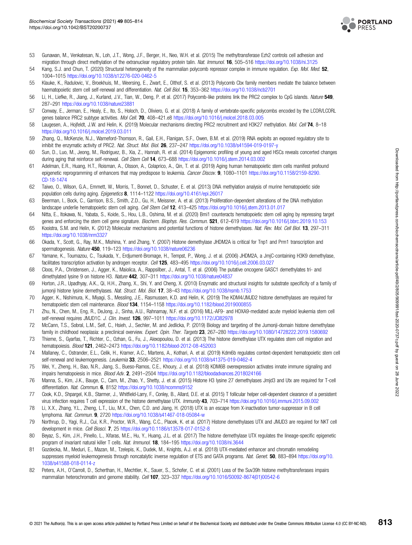

- <span id="page-8-0"></span>53 Gunawan, M., Venkatesan, N., Loh, J.T., Wong, J.F., Berger, H., Neo, W.H. et al. (2015) The methyltransferase Ezh2 controls cell adhesion and migration through direct methylation of the extranuclear regulatory protein talin. Nat. Immunol. 16, 505-516 <https://doi.org/10.1038/ni.3125>
- 54 Kang, S.J. and Chun, T. (2020) Structural heterogeneity of the mammalian polycomb repressor complex in immune regulation. Exp. Mol. Med. 52, 1004–1015 <https://doi.org/10.1038/s12276-020-0462-5>
- 55 Klauke, K., Radulovic, V., Broekhuis, M., Weersing, E., Zwart, E., Olthof, S. et al. (2013) Polycomb Cbx family members mediate the balance between haematopoietic stem cell self-renewal and differentiation. Nat. Cell Biol. 15, 353-362 <https://doi.org/10.1038/ncb2701>
- 56 Li, H., Liefke, R., Jiang, J., Kurland, J.V., Tian, W., Deng, P. et al. (2017) Polycomb-like proteins link the PRC2 complex to CpG islands. Nature 549, 287–291 <https://doi.org/10.1038/nature23881>
- 57 Conway, E., Jerman, E., Healy, E., Ito, S., Holoch, D., Oliviero, G. et al. (2018) A family of vertebrate-specific polycombs encoded by the LCOR/LCORL genes balance PRC2 subtype activities. Mol Cell. 70, 408-421.e8 <https://doi.org/10.1016/j.molcel.2018.03.005>
- 58 Laugesen, A., Hojfeldt, J.W. and Helin, K. (2019) Molecular mechanisms directing PRC2 recruitment and H3K27 methylation. Mol. Cell 74, 8–18 <https://doi.org/10.1016/j.molcel.2019.03.011>
- 59 Zhang, Q., McKenzie, N.J., Warneford-Thomson, R., Gail, E.H., Flanigan, S.F., Owen, B.M. et al. (2019) RNA exploits an exposed regulatory site to inhibit the enzymatic activity of PRC2. Nat. Struct. Mol. Biol. 26, 237-247 <https://doi.org/10.1038/s41594-019-0197-y>
- 60 Sun, D., Luo, M., Jeong, M., Rodriguez, B., Xia, Z., Hannah, R. et al. (2014) Epigenomic profiling of young and aged HSCs reveals concerted changes during aging that reinforce self-renewal. Cell Stem Cell 14, 673-688 <https://doi.org/10.1016/j.stem.2014.03.002>
- 61 Adelman, E.R., Huang, H.T., Roisman, A., Olsson, A., Colaprico, A., Qin, T. et al. (2019) Aging human hematopoietic stem cells manifest profound epigenetic reprogramming of enhancers that may predispose to leukemia. Cancer Discov. 9, 1080-1101 [https://doi.org/10.1158/2159-8290.](https://doi.org/10.1158/2159-8290.CD-18-1474) [CD-18-1474](https://doi.org/10.1158/2159-8290.CD-18-1474)
- 62 Taiwo, O., Wilson, G.A., Emmett, W., Morris, T., Bonnet, D., Schuster, E. et al. (2013) DNA methylation analysis of murine hematopoietic side population cells during aging. Epigenetics 8, 1114–1122 <https://doi.org/10.4161/epi.26017>
- 63 Beerman, I., Bock, C., Garrison, B.S., Smith, Z.D., Gu, H., Meissner, A. et al. (2013) Proliferation-dependent alterations of the DNA methylation landscape underlie hematopoietic stem cell aging. Cell Stem Cell 12, 413-425 <https://doi.org/10.1016/j.stem.2013.01.017>
- 64 Nitta, E., Itokawa, N., Yabata, S., Koide, S., Hou, L.B., Oshima, M. et al. (2020) Bmi1 counteracts hematopoietic stem cell aging by repressing target genes and enforcing the stem cell gene signature. Biochem. Biophys. Res. Commun. 521, 612-619 <https://doi.org/10.1016/j.bbrc.2019.10.153>
- 65 Kooistra, S.M. and Helin, K. (2012) Molecular mechanisms and potential functions of histone demethylases. Nat. Rev. Mol. Cell Biol. 13, 297-311 <https://doi.org/10.1038/nrm3327>
- 66 Okada, Y., Scott, G., Ray, M.K., Mishina, Y. and Zhang, Y. (2007) Histone demethylase JHDM2A is critical for Tnp1 and Prm1 transcription and spermatogenesis. Nature 450, 119–123 <https://doi.org/10.1038/nature06236>
- 67 Yamane, K., Toumazou, C., Tsukada, Y., Erdjument-Bromage, H., Tempst, P., Wong, J. et al. (2006) JHDM2A, a JmjC-containing H3K9 demethylase, facilitates transcription activation by androgen receptor. Cell 125, 483-495 <https://doi.org/10.1016/j.cell.2006.03.027>
- 68 Cloos, P.A., Christensen, J., Agger, K., Maiolica, A., Rappsilber, J., Antal, T. et al. (2006) The putative oncogene GASC1 demethylates tri- and dimethylated lysine 9 on histone H3. Nature 442, 307-311 <https://doi.org/10.1038/nature04837>
- 69 Horton, J.R., Upadhyay, A.K., Qi, H.H., Zhang, X., Shi, Y. and Cheng, X. (2010) Enzymatic and structural insights for substrate specificity of a family of jumonji histone lysine demethylases. Nat. Struct. Mol. Biol. 17, 38-43 <https://doi.org/10.1038/nsmb.1753>
- 70 Agger, K., Nishimura, K., Miyagi, S., Messling, J.E., Rasmussen, K.D. and Helin, K. (2019) The KDM4/JMJD2 histone demethylases are required for hematopoietic stem cell maintenance. Blood 134, 1154-1158 <https://doi.org/10.1182/blood.2019000855>
- 71 Zhu, N., Chen, M., Eng, R., DeJong, J., Sinha, A.U., Rahnamay, N.F. et al. (2016) MLL-AF9- and HOXA9-mediated acute myeloid leukemia stem cell self-renewal requires JMJD1C. J. Clin. Invest. 126, 997-1011 https://doi.org/10.1172/JCl82978
- 72 McCann, T.S., Sobral, L.M., Self, C., Hsieh, J., Sechler, M. and Jedlicka, P. (2019) Biology and targeting of the Jumonji-domain histone demethylase family in childhood neoplasia: a preclinical overview. Expert. Opin. Ther. Targets 23, 267-280 <https://doi.org/10.1080/14728222.2019.1580692>
- 73 Thieme, S., Gyarfas, T., Richter, C., Ozhan, G., Fu, J., Alexopoulou, D. et al. (2013) The histone demethylase UTX regulates stem cell migration and hematopoiesis. Blood 121, 2462–2473 <https://doi.org/10.1182/blood-2012-08-452003>
- 74 Mallaney, C., Ostrander, E.L., Celik, H., Kramer, A.C., Martens, A., Kothari, A. et al. (2019) Kdm6b regulates context-dependent hematopoietic stem cell self-renewal and leukemogenesis. Leukemia 33, 2506-2521 <https://doi.org/10.1038/s41375-019-0462-4>
- 75 Wei, Y., Zheng, H., Bao, N.R., Jiang, S., Bueso-Ramos, C.E., Khoury, J. et al. (2018) KDM6B overexpression activates innate immune signaling and impairs hematopoiesis in mice. Blood Adv. 2, 2491–2504 <https://doi.org/10.1182/bloodadvances.2018024166>
- 76 Manna, S., Kim, J.K., Bauge, C., Cam, M., Zhao, Y., Shetty, J. et al. (2015) Histone H3 lysine 27 demethylases Jmjd3 and Utx are required for T-cell differentiation. Nat. Commun. 6, 8152 <https://doi.org/10.1038/ncomms9152>
- 77 Cook, K.D., Shpargel, K.B., Starmer, J., Whitfield-Larry, F., Conley, B., Allard, D.E. et al. (2015) T follicular helper cell-dependent clearance of a persistent virus infection requires T cell expression of the histone demethylase UTX. Immunity 43, 703–714 <https://doi.org/10.1016/j.immuni.2015.09.002>
- 78 Li, X.X., Zhang, Y.L., Zheng, L.T., Liu, M.X., Chen, C.D. and Jiang, H. (2018) UTX is an escape from X-inactivation tumor-suppressor in B cell lymphoma. Nat. Commun. 9, 2720 <https://doi.org/10.1038/s41467-018-05084-w>
- 79 Northrup, D., Yagi, R.J., Cui, K.R., Proctor, W.R., Wang, C.C., Placek, K. et al. (2017) Histone demethylases UTX and JMJD3 are required for NKT cell development in mice. Cell Biosci. 7, 25 <https://doi.org/10.1186/s13578-017-0152-8>
- 80 Beyaz, S., Kim, J.H., Pinello, L., Xifaras, M.E., Hu, Y., Huang, J.L. et al. (2017) The histone demethylase UTX regulates the lineage-specific epigenetic program of invariant natural killer T cells. Nat. Immunol. 18, 184-195 <https://doi.org/10.1038/ni.3644>
- 81 Gozdecka, M., Meduri, E., Mazan, M., Tzelepis, K., Dudek, M., Knights, A.J. et al. (2018) UTX-mediated enhancer and chromatin remodeling suppresses myeloid leukemogenesis through noncatalytic inverse regulation of ETS and GATA programs. Nat. Genet. 50, 883-894 [https://doi.org/10.](https://doi.org/10.1038/s41588-018-0114-z) [1038/s41588-018-0114-z](https://doi.org/10.1038/s41588-018-0114-z)
- 82 Peters, A.H., O'Carroll, D., Scherthan, H., Mechtler, K., Sauer, S., Schofer, C. et al. (2001) Loss of the Suv39h histone methyltransferases impairs mammalian heterochromatin and genome stability. Cell 107, 323-337 [https://doi.org/10.1016/S0092-8674\(01\)00542-6](https://doi.org/10.1016/S0092-8674(01)00542-6)